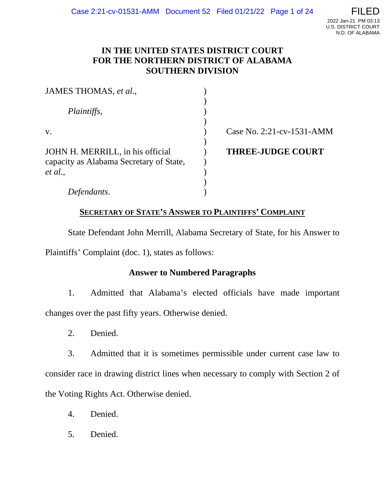# **IN THE UNITED STATES DISTRICT COURT FOR THE NORTHERN DISTRICT OF ALABAMA SOUTHERN DIVISION**

| JAMES THOMAS, et al.,                                                       |                           |
|-----------------------------------------------------------------------------|---------------------------|
| Plaintiffs,                                                                 |                           |
| $V_{\star}$                                                                 | Case No. 2:21-cv-1531-AMM |
| JOHN H. MERRILL, in his official<br>capacity as Alabama Secretary of State, | <b>THREE-JUDGE COURT</b>  |
| et al.,                                                                     |                           |
| Defendants.                                                                 |                           |

# **SECRETARY OF STATE'S ANSWER TO PLAINTIFFS' COMPLAINT**

State Defendant John Merrill, Alabama Secretary of State, for his Answer to

Plaintiffs' Complaint (doc. 1), states as follows:

### **Answer to Numbered Paragraphs**

1. Admitted that Alabama's elected officials have made important changes over the past fifty years. Otherwise denied.

2. Denied.

3. Admitted that it is sometimes permissible under current case law to consider race in drawing district lines when necessary to comply with Section 2 of the Voting Rights Act. Otherwise denied.

- 4. Denied.
- 5. Denied.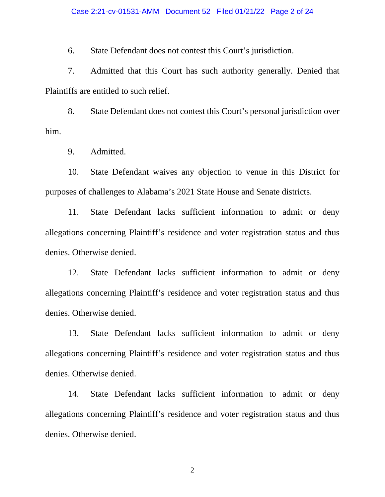6. State Defendant does not contest this Court's jurisdiction.

7. Admitted that this Court has such authority generally. Denied that Plaintiffs are entitled to such relief.

8. State Defendant does not contest this Court's personal jurisdiction over him.

9. Admitted.

10. State Defendant waives any objection to venue in this District for purposes of challenges to Alabama's 2021 State House and Senate districts.

11. State Defendant lacks sufficient information to admit or deny allegations concerning Plaintiff's residence and voter registration status and thus denies. Otherwise denied.

12. State Defendant lacks sufficient information to admit or deny allegations concerning Plaintiff's residence and voter registration status and thus denies. Otherwise denied.

13. State Defendant lacks sufficient information to admit or deny allegations concerning Plaintiff's residence and voter registration status and thus denies. Otherwise denied.

14. State Defendant lacks sufficient information to admit or deny allegations concerning Plaintiff's residence and voter registration status and thus denies. Otherwise denied.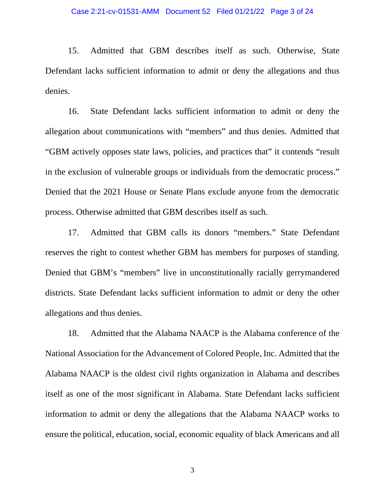15. Admitted that GBM describes itself as such. Otherwise, State Defendant lacks sufficient information to admit or deny the allegations and thus denies.

16. State Defendant lacks sufficient information to admit or deny the allegation about communications with "members" and thus denies. Admitted that "GBM actively opposes state laws, policies, and practices that" it contends "result in the exclusion of vulnerable groups or individuals from the democratic process." Denied that the 2021 House or Senate Plans exclude anyone from the democratic process. Otherwise admitted that GBM describes itself as such.

17. Admitted that GBM calls its donors "members." State Defendant reserves the right to contest whether GBM has members for purposes of standing. Denied that GBM's "members" live in unconstitutionally racially gerrymandered districts. State Defendant lacks sufficient information to admit or deny the other allegations and thus denies.

18. Admitted that the Alabama NAACP is the Alabama conference of the National Association for the Advancement of Colored People, Inc. Admitted that the Alabama NAACP is the oldest civil rights organization in Alabama and describes itself as one of the most significant in Alabama. State Defendant lacks sufficient information to admit or deny the allegations that the Alabama NAACP works to ensure the political, education, social, economic equality of black Americans and all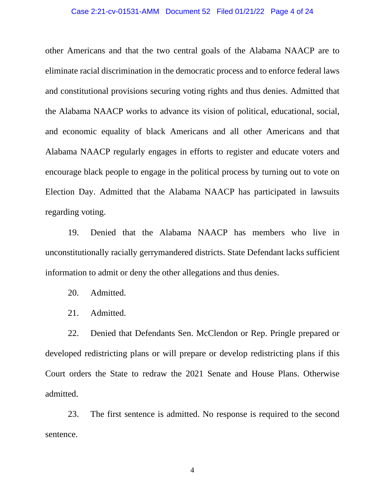#### Case 2:21-cv-01531-AMM Document 52 Filed 01/21/22 Page 4 of 24

other Americans and that the two central goals of the Alabama NAACP are to eliminate racial discrimination in the democratic process and to enforce federal laws and constitutional provisions securing voting rights and thus denies. Admitted that the Alabama NAACP works to advance its vision of political, educational, social, and economic equality of black Americans and all other Americans and that Alabama NAACP regularly engages in efforts to register and educate voters and encourage black people to engage in the political process by turning out to vote on Election Day. Admitted that the Alabama NAACP has participated in lawsuits regarding voting.

19. Denied that the Alabama NAACP has members who live in unconstitutionally racially gerrymandered districts. State Defendant lacks sufficient information to admit or deny the other allegations and thus denies.

- 20. Admitted.
- 21. Admitted.

22. Denied that Defendants Sen. McClendon or Rep. Pringle prepared or developed redistricting plans or will prepare or develop redistricting plans if this Court orders the State to redraw the 2021 Senate and House Plans. Otherwise admitted.

23. The first sentence is admitted. No response is required to the second sentence.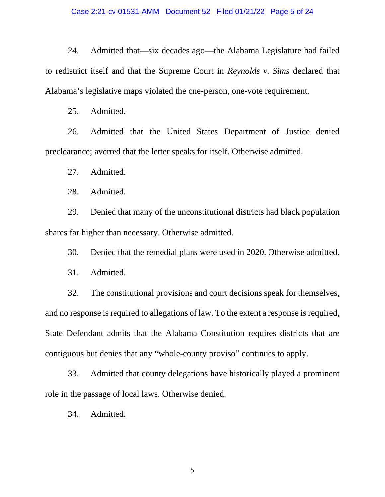24. Admitted that—six decades ago—the Alabama Legislature had failed to redistrict itself and that the Supreme Court in *Reynolds v. Sims* declared that Alabama's legislative maps violated the one-person, one-vote requirement.

25. Admitted.

26. Admitted that the United States Department of Justice denied preclearance; averred that the letter speaks for itself. Otherwise admitted.

27. Admitted.

28. Admitted.

29. Denied that many of the unconstitutional districts had black population shares far higher than necessary. Otherwise admitted.

30. Denied that the remedial plans were used in 2020. Otherwise admitted.

31. Admitted.

32. The constitutional provisions and court decisions speak for themselves, and no response is required to allegations of law. To the extent a response is required, State Defendant admits that the Alabama Constitution requires districts that are contiguous but denies that any "whole-county proviso" continues to apply.

33. Admitted that county delegations have historically played a prominent role in the passage of local laws. Otherwise denied.

34. Admitted.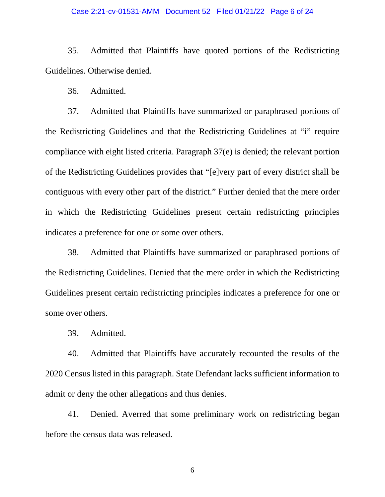#### Case 2:21-cv-01531-AMM Document 52 Filed 01/21/22 Page 6 of 24

35. Admitted that Plaintiffs have quoted portions of the Redistricting Guidelines. Otherwise denied.

36. Admitted.

37. Admitted that Plaintiffs have summarized or paraphrased portions of the Redistricting Guidelines and that the Redistricting Guidelines at "i" require compliance with eight listed criteria. Paragraph 37(e) is denied; the relevant portion of the Redistricting Guidelines provides that "[e]very part of every district shall be contiguous with every other part of the district." Further denied that the mere order in which the Redistricting Guidelines present certain redistricting principles indicates a preference for one or some over others.

38. Admitted that Plaintiffs have summarized or paraphrased portions of the Redistricting Guidelines. Denied that the mere order in which the Redistricting Guidelines present certain redistricting principles indicates a preference for one or some over others.

39. Admitted.

40. Admitted that Plaintiffs have accurately recounted the results of the 2020 Census listed in this paragraph. State Defendant lacks sufficient information to admit or deny the other allegations and thus denies.

41. Denied. Averred that some preliminary work on redistricting began before the census data was released.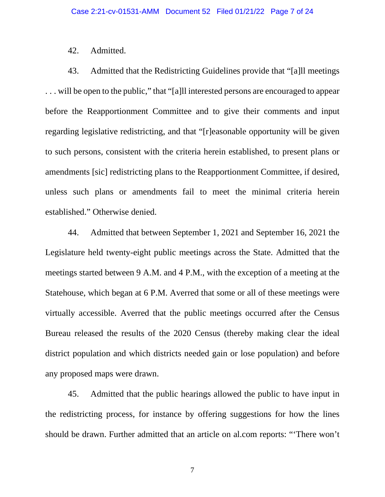### 42. Admitted.

43. Admitted that the Redistricting Guidelines provide that "[a]ll meetings . . . will be open to the public," that "[a]ll interested persons are encouraged to appear before the Reapportionment Committee and to give their comments and input regarding legislative redistricting, and that "[r]easonable opportunity will be given to such persons, consistent with the criteria herein established, to present plans or amendments [sic] redistricting plans to the Reapportionment Committee, if desired, unless such plans or amendments fail to meet the minimal criteria herein established." Otherwise denied.

44. Admitted that between September 1, 2021 and September 16, 2021 the Legislature held twenty-eight public meetings across the State. Admitted that the meetings started between 9 A.M. and 4 P.M., with the exception of a meeting at the Statehouse, which began at 6 P.M. Averred that some or all of these meetings were virtually accessible. Averred that the public meetings occurred after the Census Bureau released the results of the 2020 Census (thereby making clear the ideal district population and which districts needed gain or lose population) and before any proposed maps were drawn.

45. Admitted that the public hearings allowed the public to have input in the redistricting process, for instance by offering suggestions for how the lines should be drawn. Further admitted that an article on al.com reports: "'There won't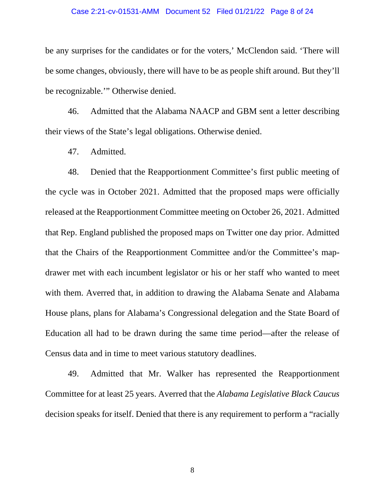#### Case 2:21-cv-01531-AMM Document 52 Filed 01/21/22 Page 8 of 24

be any surprises for the candidates or for the voters,' McClendon said. 'There will be some changes, obviously, there will have to be as people shift around. But they'll be recognizable.'" Otherwise denied.

46. Admitted that the Alabama NAACP and GBM sent a letter describing their views of the State's legal obligations. Otherwise denied.

47. Admitted.

48. Denied that the Reapportionment Committee's first public meeting of the cycle was in October 2021. Admitted that the proposed maps were officially released at the Reapportionment Committee meeting on October 26, 2021. Admitted that Rep. England published the proposed maps on Twitter one day prior. Admitted that the Chairs of the Reapportionment Committee and/or the Committee's mapdrawer met with each incumbent legislator or his or her staff who wanted to meet with them. Averred that, in addition to drawing the Alabama Senate and Alabama House plans, plans for Alabama's Congressional delegation and the State Board of Education all had to be drawn during the same time period—after the release of Census data and in time to meet various statutory deadlines.

49. Admitted that Mr. Walker has represented the Reapportionment Committee for at least 25 years. Averred that the *Alabama Legislative Black Caucus*  decision speaks for itself. Denied that there is any requirement to perform a "racially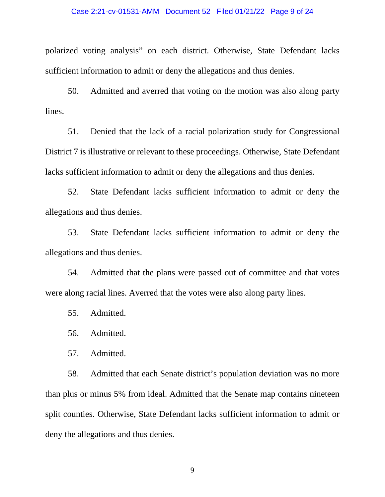#### Case 2:21-cv-01531-AMM Document 52 Filed 01/21/22 Page 9 of 24

polarized voting analysis" on each district. Otherwise, State Defendant lacks sufficient information to admit or deny the allegations and thus denies.

50. Admitted and averred that voting on the motion was also along party lines.

51. Denied that the lack of a racial polarization study for Congressional District 7 is illustrative or relevant to these proceedings. Otherwise, State Defendant lacks sufficient information to admit or deny the allegations and thus denies.

52. State Defendant lacks sufficient information to admit or deny the allegations and thus denies.

53. State Defendant lacks sufficient information to admit or deny the allegations and thus denies.

54. Admitted that the plans were passed out of committee and that votes were along racial lines. Averred that the votes were also along party lines.

55. Admitted.

56. Admitted.

57. Admitted.

58. Admitted that each Senate district's population deviation was no more than plus or minus 5% from ideal. Admitted that the Senate map contains nineteen split counties. Otherwise, State Defendant lacks sufficient information to admit or deny the allegations and thus denies.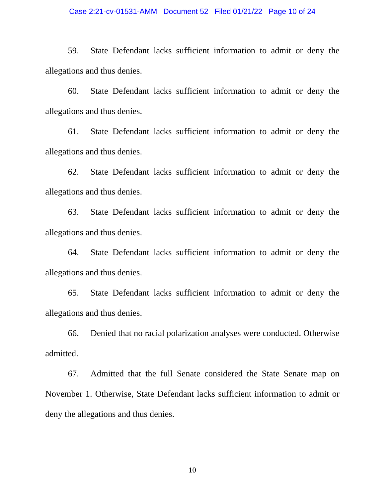#### Case 2:21-cv-01531-AMM Document 52 Filed 01/21/22 Page 10 of 24

59. State Defendant lacks sufficient information to admit or deny the allegations and thus denies.

60. State Defendant lacks sufficient information to admit or deny the allegations and thus denies.

61. State Defendant lacks sufficient information to admit or deny the allegations and thus denies.

62. State Defendant lacks sufficient information to admit or deny the allegations and thus denies.

63. State Defendant lacks sufficient information to admit or deny the allegations and thus denies.

64. State Defendant lacks sufficient information to admit or deny the allegations and thus denies.

65. State Defendant lacks sufficient information to admit or deny the allegations and thus denies.

66. Denied that no racial polarization analyses were conducted. Otherwise admitted.

67. Admitted that the full Senate considered the State Senate map on November 1. Otherwise, State Defendant lacks sufficient information to admit or deny the allegations and thus denies.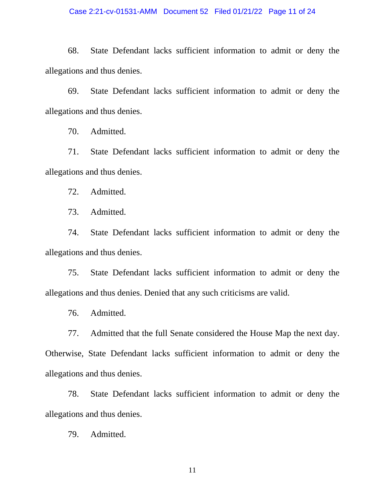## Case 2:21-cv-01531-AMM Document 52 Filed 01/21/22 Page 11 of 24

68. State Defendant lacks sufficient information to admit or deny the allegations and thus denies.

69. State Defendant lacks sufficient information to admit or deny the allegations and thus denies.

70. Admitted.

71. State Defendant lacks sufficient information to admit or deny the allegations and thus denies.

72. Admitted.

73. Admitted.

74. State Defendant lacks sufficient information to admit or deny the allegations and thus denies.

75. State Defendant lacks sufficient information to admit or deny the allegations and thus denies. Denied that any such criticisms are valid.

76. Admitted.

77. Admitted that the full Senate considered the House Map the next day.

Otherwise, State Defendant lacks sufficient information to admit or deny the allegations and thus denies.

78. State Defendant lacks sufficient information to admit or deny the allegations and thus denies.

79. Admitted.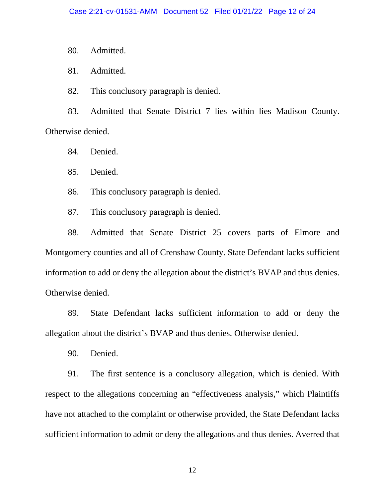80. Admitted.

81. Admitted.

82. This conclusory paragraph is denied.

83. Admitted that Senate District 7 lies within lies Madison County. Otherwise denied.

84. Denied.

85. Denied.

86. This conclusory paragraph is denied.

87. This conclusory paragraph is denied.

88. Admitted that Senate District 25 covers parts of Elmore and Montgomery counties and all of Crenshaw County. State Defendant lacks sufficient information to add or deny the allegation about the district's BVAP and thus denies. Otherwise denied.

89. State Defendant lacks sufficient information to add or deny the allegation about the district's BVAP and thus denies. Otherwise denied.

90. Denied.

91. The first sentence is a conclusory allegation, which is denied. With respect to the allegations concerning an "effectiveness analysis," which Plaintiffs have not attached to the complaint or otherwise provided, the State Defendant lacks sufficient information to admit or deny the allegations and thus denies. Averred that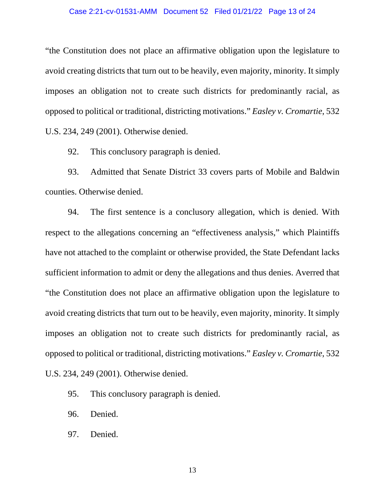#### Case 2:21-cv-01531-AMM Document 52 Filed 01/21/22 Page 13 of 24

"the Constitution does not place an affirmative obligation upon the legislature to avoid creating districts that turn out to be heavily, even majority, minority. It simply imposes an obligation not to create such districts for predominantly racial, as opposed to political or traditional, districting motivations." *Easley v. Cromartie*, 532 U.S. 234, 249 (2001). Otherwise denied.

92. This conclusory paragraph is denied.

93. Admitted that Senate District 33 covers parts of Mobile and Baldwin counties. Otherwise denied.

94. The first sentence is a conclusory allegation, which is denied. With respect to the allegations concerning an "effectiveness analysis," which Plaintiffs have not attached to the complaint or otherwise provided, the State Defendant lacks sufficient information to admit or deny the allegations and thus denies. Averred that "the Constitution does not place an affirmative obligation upon the legislature to avoid creating districts that turn out to be heavily, even majority, minority. It simply imposes an obligation not to create such districts for predominantly racial, as opposed to political or traditional, districting motivations." *Easley v. Cromartie*, 532 U.S. 234, 249 (2001). Otherwise denied.

- 95. This conclusory paragraph is denied.
- 96. Denied.
- 97. Denied.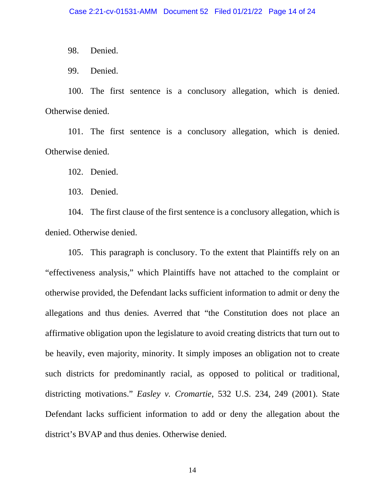98. Denied.

99. Denied.

100. The first sentence is a conclusory allegation, which is denied. Otherwise denied.

101. The first sentence is a conclusory allegation, which is denied. Otherwise denied.

102. Denied.

103. Denied.

104. The first clause of the first sentence is a conclusory allegation, which is denied. Otherwise denied.

105. This paragraph is conclusory. To the extent that Plaintiffs rely on an "effectiveness analysis," which Plaintiffs have not attached to the complaint or otherwise provided, the Defendant lacks sufficient information to admit or deny the allegations and thus denies. Averred that "the Constitution does not place an affirmative obligation upon the legislature to avoid creating districts that turn out to be heavily, even majority, minority. It simply imposes an obligation not to create such districts for predominantly racial, as opposed to political or traditional, districting motivations." *Easley v. Cromartie*, 532 U.S. 234, 249 (2001). State Defendant lacks sufficient information to add or deny the allegation about the district's BVAP and thus denies. Otherwise denied.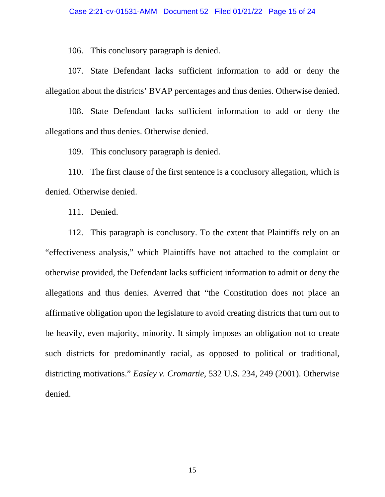106. This conclusory paragraph is denied.

107. State Defendant lacks sufficient information to add or deny the allegation about the districts' BVAP percentages and thus denies. Otherwise denied.

108. State Defendant lacks sufficient information to add or deny the allegations and thus denies. Otherwise denied.

109. This conclusory paragraph is denied.

110. The first clause of the first sentence is a conclusory allegation, which is denied. Otherwise denied.

111. Denied.

112. This paragraph is conclusory. To the extent that Plaintiffs rely on an "effectiveness analysis," which Plaintiffs have not attached to the complaint or otherwise provided, the Defendant lacks sufficient information to admit or deny the allegations and thus denies. Averred that "the Constitution does not place an affirmative obligation upon the legislature to avoid creating districts that turn out to be heavily, even majority, minority. It simply imposes an obligation not to create such districts for predominantly racial, as opposed to political or traditional, districting motivations." *Easley v. Cromartie*, 532 U.S. 234, 249 (2001). Otherwise denied.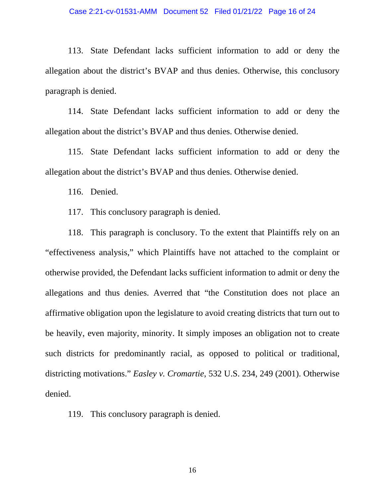#### Case 2:21-cv-01531-AMM Document 52 Filed 01/21/22 Page 16 of 24

113. State Defendant lacks sufficient information to add or deny the allegation about the district's BVAP and thus denies. Otherwise, this conclusory paragraph is denied.

114. State Defendant lacks sufficient information to add or deny the allegation about the district's BVAP and thus denies. Otherwise denied.

115. State Defendant lacks sufficient information to add or deny the allegation about the district's BVAP and thus denies. Otherwise denied.

116. Denied.

117. This conclusory paragraph is denied.

118. This paragraph is conclusory. To the extent that Plaintiffs rely on an "effectiveness analysis," which Plaintiffs have not attached to the complaint or otherwise provided, the Defendant lacks sufficient information to admit or deny the allegations and thus denies. Averred that "the Constitution does not place an affirmative obligation upon the legislature to avoid creating districts that turn out to be heavily, even majority, minority. It simply imposes an obligation not to create such districts for predominantly racial, as opposed to political or traditional, districting motivations." *Easley v. Cromartie*, 532 U.S. 234, 249 (2001). Otherwise denied.

119. This conclusory paragraph is denied.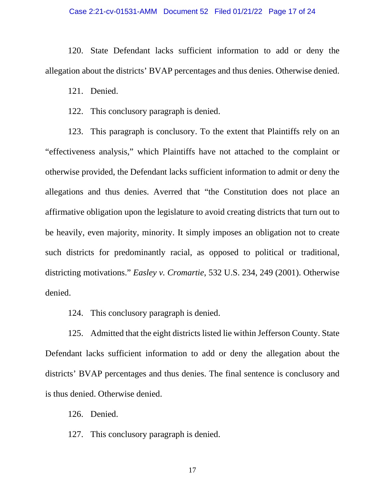#### Case 2:21-cv-01531-AMM Document 52 Filed 01/21/22 Page 17 of 24

120. State Defendant lacks sufficient information to add or deny the allegation about the districts' BVAP percentages and thus denies. Otherwise denied.

121. Denied.

122. This conclusory paragraph is denied.

123. This paragraph is conclusory. To the extent that Plaintiffs rely on an "effectiveness analysis," which Plaintiffs have not attached to the complaint or otherwise provided, the Defendant lacks sufficient information to admit or deny the allegations and thus denies. Averred that "the Constitution does not place an affirmative obligation upon the legislature to avoid creating districts that turn out to be heavily, even majority, minority. It simply imposes an obligation not to create such districts for predominantly racial, as opposed to political or traditional, districting motivations." *Easley v. Cromartie*, 532 U.S. 234, 249 (2001). Otherwise denied.

124. This conclusory paragraph is denied.

125. Admitted that the eight districts listed lie within Jefferson County. State Defendant lacks sufficient information to add or deny the allegation about the districts' BVAP percentages and thus denies. The final sentence is conclusory and is thus denied. Otherwise denied.

126. Denied.

127. This conclusory paragraph is denied.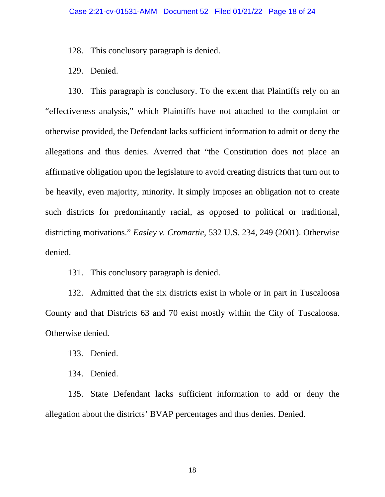128. This conclusory paragraph is denied.

129. Denied.

130. This paragraph is conclusory. To the extent that Plaintiffs rely on an "effectiveness analysis," which Plaintiffs have not attached to the complaint or otherwise provided, the Defendant lacks sufficient information to admit or deny the allegations and thus denies. Averred that "the Constitution does not place an affirmative obligation upon the legislature to avoid creating districts that turn out to be heavily, even majority, minority. It simply imposes an obligation not to create such districts for predominantly racial, as opposed to political or traditional, districting motivations." *Easley v. Cromartie*, 532 U.S. 234, 249 (2001). Otherwise denied.

131. This conclusory paragraph is denied.

132. Admitted that the six districts exist in whole or in part in Tuscaloosa County and that Districts 63 and 70 exist mostly within the City of Tuscaloosa. Otherwise denied.

133. Denied.

134. Denied.

135. State Defendant lacks sufficient information to add or deny the allegation about the districts' BVAP percentages and thus denies. Denied.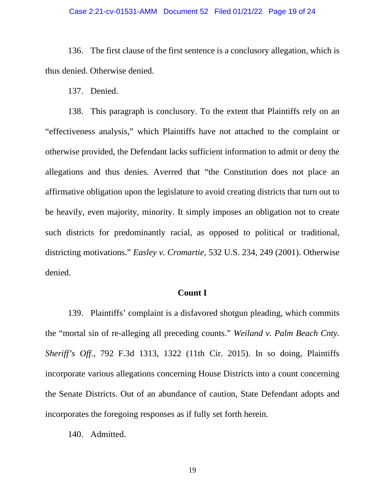#### Case 2:21-cv-01531-AMM Document 52 Filed 01/21/22 Page 19 of 24

136. The first clause of the first sentence is a conclusory allegation, which is thus denied. Otherwise denied.

137. Denied.

138. This paragraph is conclusory. To the extent that Plaintiffs rely on an "effectiveness analysis," which Plaintiffs have not attached to the complaint or otherwise provided, the Defendant lacks sufficient information to admit or deny the allegations and thus denies. Averred that "the Constitution does not place an affirmative obligation upon the legislature to avoid creating districts that turn out to be heavily, even majority, minority. It simply imposes an obligation not to create such districts for predominantly racial, as opposed to political or traditional, districting motivations." *Easley v. Cromartie*, 532 U.S. 234, 249 (2001). Otherwise denied.

## **Count I**

139. Plaintiffs' complaint is a disfavored shotgun pleading, which commits the "mortal sin of re-alleging all preceding counts." *Weiland v. Palm Beach Cnty. Sheriff's Off.*, 792 F.3d 1313, 1322 (11th Cir. 2015). In so doing, Plaintiffs incorporate various allegations concerning House Districts into a count concerning the Senate Districts. Out of an abundance of caution, State Defendant adopts and incorporates the foregoing responses as if fully set forth herein.

140. Admitted.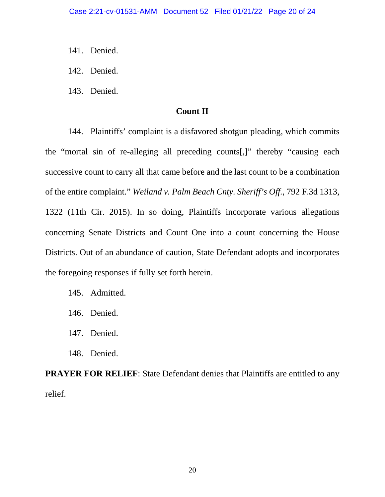- 141. Denied.
- 142. Denied.
- 143. Denied.

## **Count II**

144. Plaintiffs' complaint is a disfavored shotgun pleading, which commits the "mortal sin of re-alleging all preceding counts[,]" thereby "causing each successive count to carry all that came before and the last count to be a combination of the entire complaint." *Weiland v. Palm Beach Cnty. Sheriff's Off.*, 792 F.3d 1313, 1322 (11th Cir. 2015). In so doing, Plaintiffs incorporate various allegations concerning Senate Districts and Count One into a count concerning the House Districts. Out of an abundance of caution, State Defendant adopts and incorporates the foregoing responses if fully set forth herein.

- 145. Admitted.
- 146. Denied.
- 147. Denied.
- 148. Denied.

**PRAYER FOR RELIEF:** State Defendant denies that Plaintiffs are entitled to any relief.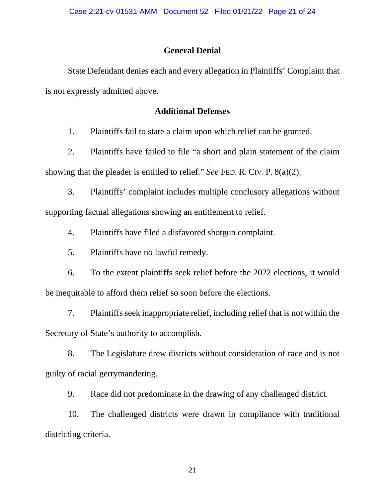### **General Denial**

State Defendant denies each and every allegation in Plaintiffs' Complaint that is not expressly admitted above.

# **Additional Defenses**

1. Plaintiffs fail to state a claim upon which relief can be granted.

2. Plaintiffs have failed to file "a short and plain statement of the claim showing that the pleader is entitled to relief." *See* FED. R. CIV. P. 8(a)(2).

3. Plaintiffs' complaint includes multiple conclusory allegations without supporting factual allegations showing an entitlement to relief.

4. Plaintiffs have filed a disfavored shotgun complaint.

5. Plaintiffs have no lawful remedy.

6. To the extent plaintiffs seek relief before the 2022 elections, it would be inequitable to afford them relief so soon before the elections.

7. Plaintiffs seek inappropriate relief, including relief that is not within the Secretary of State's authority to accomplish.

8. The Legislature drew districts without consideration of race and is not guilty of racial gerrymandering.

9. Race did not predominate in the drawing of any challenged district.

10. The challenged districts were drawn in compliance with traditional districting criteria.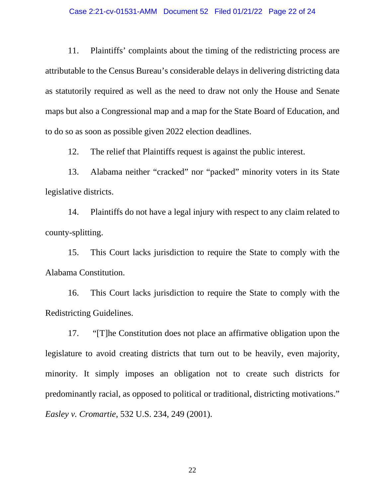#### Case 2:21-cv-01531-AMM Document 52 Filed 01/21/22 Page 22 of 24

11. Plaintiffs' complaints about the timing of the redistricting process are attributable to the Census Bureau's considerable delays in delivering districting data as statutorily required as well as the need to draw not only the House and Senate maps but also a Congressional map and a map for the State Board of Education, and to do so as soon as possible given 2022 election deadlines.

12. The relief that Plaintiffs request is against the public interest.

13. Alabama neither "cracked" nor "packed" minority voters in its State legislative districts.

14. Plaintiffs do not have a legal injury with respect to any claim related to county-splitting.

15. This Court lacks jurisdiction to require the State to comply with the Alabama Constitution.

16. This Court lacks jurisdiction to require the State to comply with the Redistricting Guidelines.

17. "[T]he Constitution does not place an affirmative obligation upon the legislature to avoid creating districts that turn out to be heavily, even majority, minority. It simply imposes an obligation not to create such districts for predominantly racial, as opposed to political or traditional, districting motivations." *Easley v. Cromartie*, 532 U.S. 234, 249 (2001).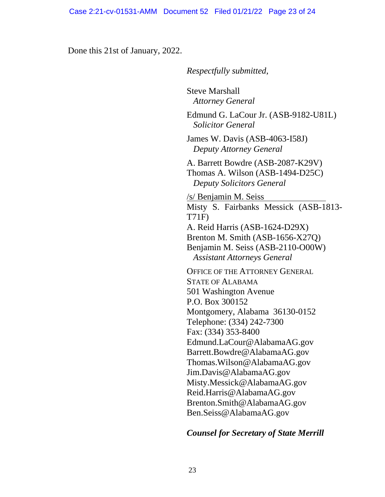Done this 21st of January, 2022.

*Respectfully submitted*,

Steve Marshall *Attorney General*

Edmund G. LaCour Jr. (ASB-9182-U81L) *Solicitor General* 

James W. Davis (ASB-4063-I58J) *Deputy Attorney General* 

A. Barrett Bowdre (ASB-2087-K29V) Thomas A. Wilson (ASB-1494-D25C) *Deputy Solicitors General*

/s/ Benjamin M. Seiss Misty S. Fairbanks Messick (ASB-1813- T71F) A. Reid Harris (ASB-1624-D29X) Brenton M. Smith (ASB-1656-X27Q) Benjamin M. Seiss (ASB-2110-O00W)  *Assistant Attorneys General*

OFFICE OF THE ATTORNEY GENERAL STATE OF ALABAMA 501 Washington Avenue P.O. Box 300152 Montgomery, Alabama 36130-0152 Telephone: (334) 242-7300 Fax: (334) 353-8400 Edmund.LaCour@AlabamaAG.gov Barrett.Bowdre@AlabamaAG.gov Thomas.Wilson@AlabamaAG.gov Jim.Davis@AlabamaAG.gov Misty.Messick@AlabamaAG.gov Reid.Harris@AlabamaAG.gov Brenton.Smith@AlabamaAG.gov Ben.Seiss@AlabamaAG.gov

# *Counsel for Secretary of State Merrill*